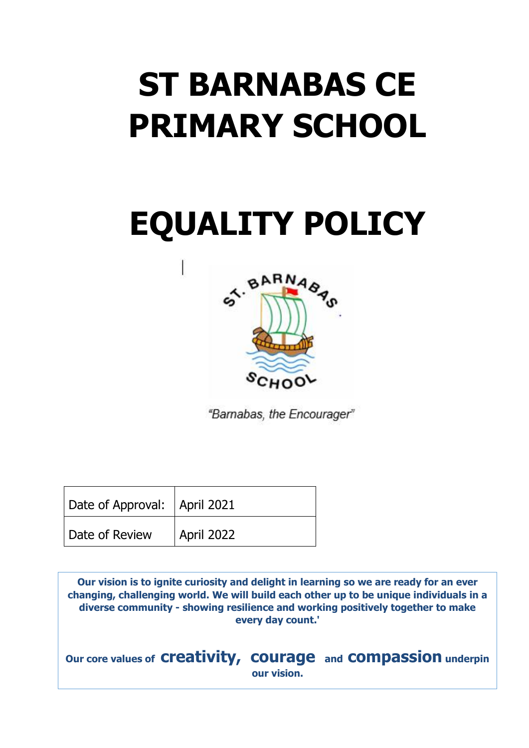# **ST BARNABAS CE PRIMARY SCHOOL**

# **EQUALITY POLICY**



"Barnabas, the Encourager"

| Date of Approval:   April 2021 |                   |
|--------------------------------|-------------------|
| Date of Review                 | <b>April 2022</b> |

**Our vision is to ignite curiosity and delight in learning so we are ready for an ever changing, challenging world. We will build each other up to be unique individuals in a diverse community - showing resilience and working positively together to make every day count.'**

**Our core values of creativity, courage and compassion underpin our vision.**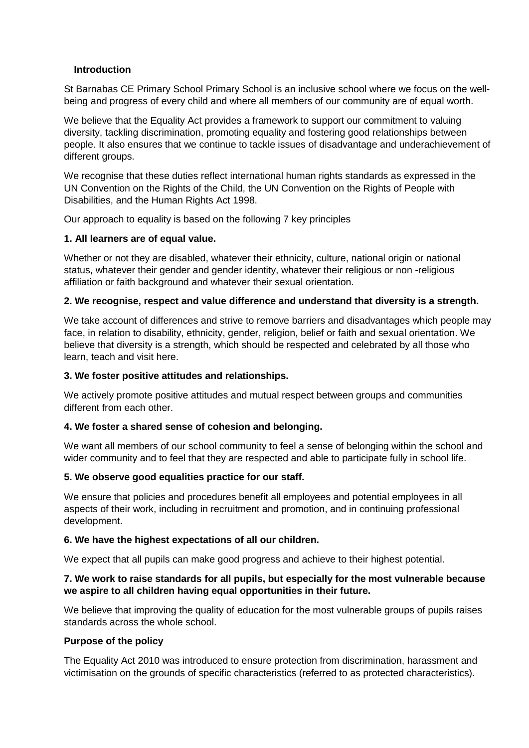# **Introduction**

St Barnabas CE Primary School Primary School is an inclusive school where we focus on the wellbeing and progress of every child and where all members of our community are of equal worth.

We believe that the Equality Act provides a framework to support our commitment to valuing diversity, tackling discrimination, promoting equality and fostering good relationships between people. It also ensures that we continue to tackle issues of disadvantage and underachievement of different groups.

We recognise that these duties reflect international human rights standards as expressed in the UN Convention on the Rights of the Child, the UN Convention on the Rights of People with Disabilities, and the Human Rights Act 1998.

Our approach to equality is based on the following 7 key principles

# **1. All learners are of equal value.**

Whether or not they are disabled, whatever their ethnicity, culture, national origin or national status, whatever their gender and gender identity, whatever their religious or non -religious affiliation or faith background and whatever their sexual orientation.

# **2. We recognise, respect and value difference and understand that diversity is a strength.**

We take account of differences and strive to remove barriers and disadvantages which people may face, in relation to disability, ethnicity, gender, religion, belief or faith and sexual orientation. We believe that diversity is a strength, which should be respected and celebrated by all those who learn, teach and visit here.

# **3. We foster positive attitudes and relationships.**

We actively promote positive attitudes and mutual respect between groups and communities different from each other.

# **4. We foster a shared sense of cohesion and belonging.**

We want all members of our school community to feel a sense of belonging within the school and wider community and to feel that they are respected and able to participate fully in school life.

# **5. We observe good equalities practice for our staff.**

We ensure that policies and procedures benefit all employees and potential employees in all aspects of their work, including in recruitment and promotion, and in continuing professional development.

# **6. We have the highest expectations of all our children.**

We expect that all pupils can make good progress and achieve to their highest potential.

# **7. We work to raise standards for all pupils, but especially for the most vulnerable because we aspire to all children having equal opportunities in their future.**

We believe that improving the quality of education for the most vulnerable groups of pupils raises standards across the whole school.

# **Purpose of the policy**

The Equality Act 2010 was introduced to ensure protection from discrimination, harassment and victimisation on the grounds of specific characteristics (referred to as protected characteristics).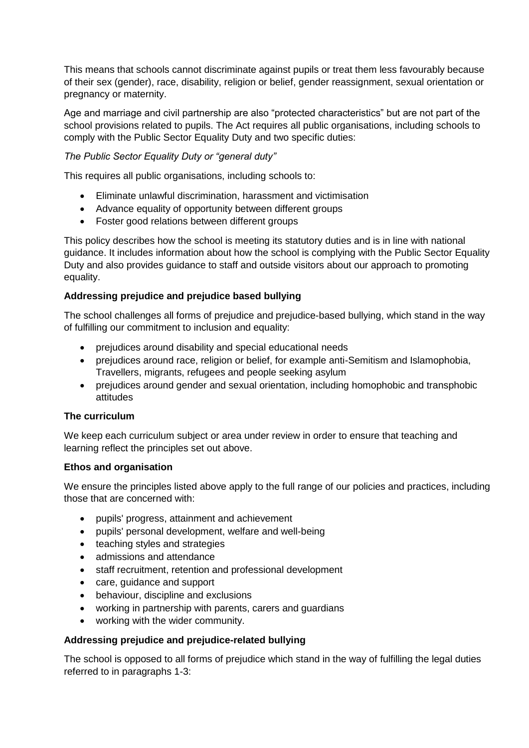This means that schools cannot discriminate against pupils or treat them less favourably because of their sex (gender), race, disability, religion or belief, gender reassignment, sexual orientation or pregnancy or maternity.

Age and marriage and civil partnership are also "protected characteristics" but are not part of the school provisions related to pupils. The Act requires all public organisations, including schools to comply with the Public Sector Equality Duty and two specific duties:

# *The Public Sector Equality Duty or "general duty"*

This requires all public organisations, including schools to:

- Eliminate unlawful discrimination, harassment and victimisation
- Advance equality of opportunity between different groups
- Foster good relations between different groups

This policy describes how the school is meeting its statutory duties and is in line with national guidance. It includes information about how the school is complying with the Public Sector Equality Duty and also provides guidance to staff and outside visitors about our approach to promoting equality.

# **Addressing prejudice and prejudice based bullying**

The school challenges all forms of prejudice and prejudice-based bullying, which stand in the way of fulfilling our commitment to inclusion and equality:

- prejudices around disability and special educational needs
- prejudices around race, religion or belief, for example anti-Semitism and Islamophobia, Travellers, migrants, refugees and people seeking asylum
- prejudices around gender and sexual orientation, including homophobic and transphobic attitudes

# **The curriculum**

We keep each curriculum subject or area under review in order to ensure that teaching and learning reflect the principles set out above.

# **Ethos and organisation**

We ensure the principles listed above apply to the full range of our policies and practices, including those that are concerned with:

- pupils' progress, attainment and achievement
- pupils' personal development, welfare and well-being
- teaching styles and strategies
- admissions and attendance
- staff recruitment, retention and professional development
- care, guidance and support
- behaviour, discipline and exclusions
- working in partnership with parents, carers and guardians
- working with the wider community.

# **Addressing prejudice and prejudice-related bullying**

The school is opposed to all forms of prejudice which stand in the way of fulfilling the legal duties referred to in paragraphs 1-3: